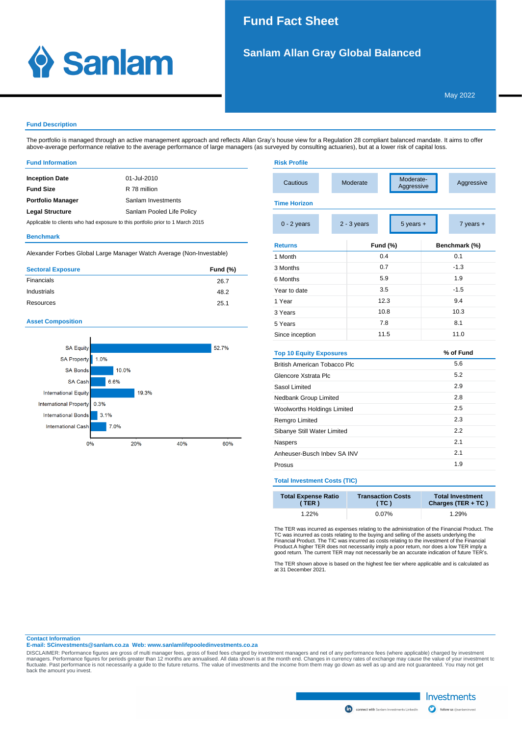## 1. SIL SANLAM ALLAN GRAY GLOBAL BALANCED.<br>Politics and the silver of the silver of the silver of the silver of the silver of the silver of the silver of **Fund Fact Sheet**

**Risk Profile**



# **Sanlam Allan Gray Global Balanced**

### **Fund Description**

The portfolio is managed through an active management approach and reflects Allan Gray's house view for a Regulation 28 compliant balanced mandate. It aims to offer above-average performance relative to the average performance of large managers (as surveyed by consulting actuaries), but at a lower risk of capital loss.

#### **Fund Information**

| <b>Inception Date</b>                                                          | 01-Jul-2010        |  |  |  |
|--------------------------------------------------------------------------------|--------------------|--|--|--|
| <b>Fund Size</b>                                                               | R 78 million       |  |  |  |
| <b>Portfolio Manager</b>                                                       | Sanlam Investments |  |  |  |
| <b>Legal Structure</b><br>Sanlam Pooled Life Policy                            |                    |  |  |  |
| Applicable to clients who had exposure to this portfolio prior to 1 March 2015 |                    |  |  |  |

### **Benchmark**

Alexander Forbes Global Large Manager Watch Average (Non-Investable)

| <b>Sectoral Exposure</b> | <b>Fund (%)</b> |
|--------------------------|-----------------|
| Financials               | 26.7            |
| Industrials              | 48.2            |
| Resources                | 25.1            |

## **Asset Composition**



| Cautious                       |  | Moderate-<br>Moderate<br>Aggressive |                 |     | Aggressive |               |  |
|--------------------------------|--|-------------------------------------|-----------------|-----|------------|---------------|--|
| <b>Time Horizon</b>            |  |                                     |                 |     |            |               |  |
| $0 - 2$ years                  |  | $5$ years $+$<br>$2 - 3$ years      |                 |     |            | 7 years +     |  |
| <b>Returns</b>                 |  |                                     | <b>Fund (%)</b> |     |            | Benchmark (%) |  |
| 1 Month                        |  |                                     | 0.4             |     | 0.1        |               |  |
| 3 Months                       |  |                                     | 07              |     | $-1.3$     |               |  |
| 6 Months                       |  |                                     | 5.9             |     | 1.9        |               |  |
| Year to date                   |  | 3.5                                 |                 |     | $-1.5$     |               |  |
| 1 Year                         |  | 12.3                                |                 |     | 94         |               |  |
| 3 Years                        |  | 10.8                                |                 |     | 10.3       |               |  |
| 5 Years                        |  | 7.8                                 |                 |     | 8.1        |               |  |
| Since inception                |  | 11.5                                |                 |     | 11.0       |               |  |
| <b>Top 10 Equity Exposures</b> |  |                                     |                 |     |            | % of Fund     |  |
| British American Tobacco Plc   |  |                                     |                 |     | 5.6        |               |  |
| Glencore Xstrata Plc           |  |                                     |                 |     | 5.2        |               |  |
| Sasol Limited                  |  |                                     |                 |     | 29         |               |  |
| Nedbank Group Limited          |  |                                     |                 | 2.8 |            |               |  |
| Woolworths Holdings Limited    |  |                                     |                 | 2.5 |            |               |  |
| Remgro Limited                 |  |                                     |                 | 2.3 |            |               |  |
| Sibanye Still Water Limited    |  |                                     | 2.2             |     |            |               |  |
| Naspers                        |  |                                     |                 | 2.1 |            |               |  |
| Anheuser-Busch Inbev SA INV    |  |                                     |                 | 2.1 |            |               |  |
| Prosus                         |  |                                     |                 |     | 1.9        |               |  |

## **Total Investment Costs (TIC)**

| <b>Total Expense Ratio</b> | <b>Transaction Costs</b> | <b>Total Investment</b> |
|----------------------------|--------------------------|-------------------------|
| (TER)                      | (TC)                     | Charges (TER + TC)      |
| $1.22\%$                   | $0.07\%$                 | 1.29%                   |

The TER was incurred as expenses relating to the administration of the Financial Product. The TC was incurred as costs relating to the buying and selling of the assets underlying the<br>Financial Product. The TIC was incurred as costs relating to the investment of the Financial<br>Product.A higher TER does not necessaril

The TER shown above is based on the highest fee tier where applicable and is calculated as at 31 December 2021.

### **Contact Information**

**E-mail: SCinvestments@sanlam.co.za Web: www.sanlamlifepooledinvestments.co.za**

DISCLAIMER: Performance figures are gross of multi manager fees, gross of fixed fees charged by investment managers and net of any performance fees (where applicable) charged by investment to<br>managers. Performance figures back the amount you invest.



Investments

follow us @sanlami

 $\mathbf \Omega$